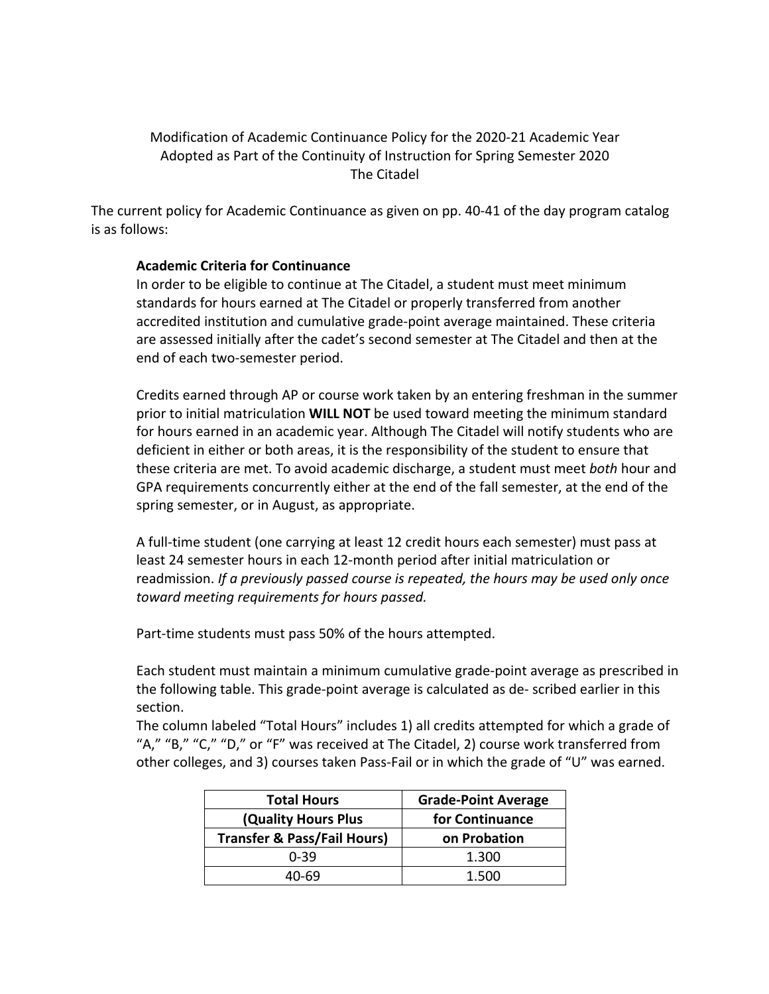## Modification of Academic Continuance Policy for the 2020-21 Academic Year Adopted as Part of the Continuity of Instruction for Spring Semester 2020 The Citadel

The current policy for Academic Continuance as given on pp. 40-41 of the day program catalog is as follows:

## **Academic Criteria for Continuance**

In order to be eligible to continue at The Citadel, a student must meet minimum standards for hours earned at The Citadel or properly transferred from another accredited institution and cumulative grade-point average maintained. These criteria are assessed initially after the cadet's second semester at The Citadel and then at the end of each two-semester period.

Credits earned through AP or course work taken by an entering freshman in the summer prior to initial matriculation **WILL NOT** be used toward meeting the minimum standard for hours earned in an academic year. Although The Citadel will notify students who are deficient in either or both areas, it is the responsibility of the student to ensure that these criteria are met. To avoid academic discharge, a student must meet *both* hour and GPA requirements concurrently either at the end of the fall semester, at the end of the spring semester, or in August, as appropriate.

A full-time student (one carrying at least 12 credit hours each semester) must pass at least 24 semester hours in each 12-month period after initial matriculation or readmission. *If a previously passed course is repeated, the hours may be used only once toward meeting requirements for hours passed.* 

Part-time students must pass 50% of the hours attempted.

Each student must maintain a minimum cumulative grade-point average as prescribed in the following table. This grade-point average is calculated as de- scribed earlier in this section.

The column labeled "Total Hours" includes 1) all credits attempted for which a grade of "A," "B," "C," "D," or "F" was received at The Citadel, 2) course work transferred from other colleges, and 3) courses taken Pass-Fail or in which the grade of "U" was earned.

| <b>Total Hours</b>                     | <b>Grade-Point Average</b> |
|----------------------------------------|----------------------------|
| (Quality Hours Plus                    | for Continuance            |
| <b>Transfer &amp; Pass/Fail Hours)</b> | on Probation               |
| $0 - 39$                               | 1.300                      |
| 40-69                                  | 1.500                      |